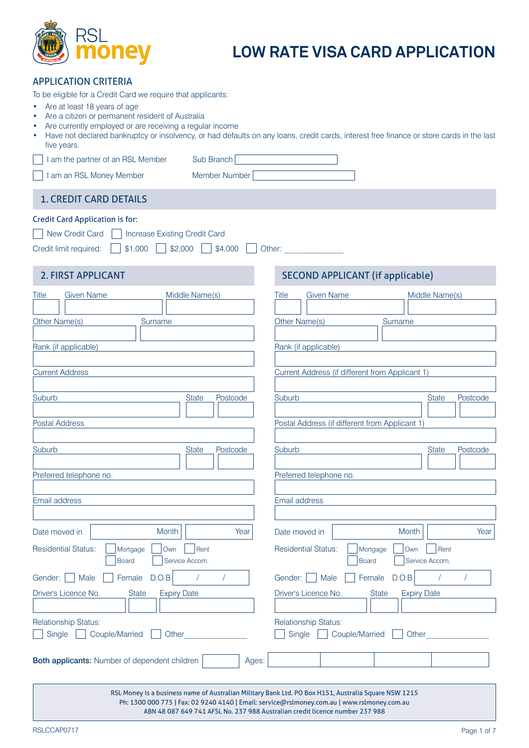

# **LOW RATE VISA CARD APPLICATION**

| <b>APPLICATION CRITERIA</b> |
|-----------------------------|
|-----------------------------|

To be eligible for a Credit Card we require that applicants:

- Are at least 18 years of age
- Are a citizen or permanent resident of Australia
- Are currently employed or are receiving a regular income
- Have not declared bankruptcy or insolvency, or had defaults on any loans, credit cards, interest free finance or store cards in the last five years.

I am the partner of an RSL Member Sub Branch

I am an RSL Money Member **Member Number** 

# 1. CREDIT CARD DETAILS

### Credit Card Application is for:

| New Credit Card   Increase Existing Credit Card                                   |  |
|-----------------------------------------------------------------------------------|--|
| Credit limit required: $\Box$ \$1,000 $\Box$ \$2,000 $\Box$ \$4,000 $\Box$ Other: |  |

| <b>Given Name</b><br><b>Title</b>             | Middle Name(s)      |          | <b>Title</b>  | <b>Given Name</b>          |                                                 |                    | Middle Name(s) |          |
|-----------------------------------------------|---------------------|----------|---------------|----------------------------|-------------------------------------------------|--------------------|----------------|----------|
|                                               |                     |          |               |                            |                                                 |                    |                |          |
| Other Name(s)                                 | Surname             |          | Other Name(s) |                            |                                                 | Surname            |                |          |
|                                               |                     |          |               |                            |                                                 |                    |                |          |
| Rank (if applicable)                          |                     |          |               | Rank (if applicable)       |                                                 |                    |                |          |
|                                               |                     |          |               |                            |                                                 |                    |                |          |
| <b>Current Address</b>                        |                     |          |               |                            | Current Address (if different from Applicant 1) |                    |                |          |
|                                               |                     |          |               |                            |                                                 |                    |                |          |
| Suburb                                        | <b>State</b>        | Postcode | Suburb        |                            |                                                 |                    | <b>State</b>   | Postcode |
|                                               |                     |          |               |                            |                                                 |                    |                |          |
| <b>Postal Address</b>                         |                     |          |               |                            | Postal Address (if different from Applicant 1)  |                    |                |          |
| Suburb                                        | <b>State</b>        | Postcode | Suburb        |                            |                                                 |                    | <b>State</b>   | Postcode |
|                                               |                     |          |               |                            |                                                 |                    |                |          |
| Preferred telephone no.                       |                     |          |               | Preferred telephone no.    |                                                 |                    |                |          |
|                                               |                     |          |               |                            |                                                 |                    |                |          |
| Email address                                 |                     |          | Email address |                            |                                                 |                    |                |          |
|                                               |                     |          |               |                            |                                                 |                    |                |          |
| Date moved in                                 | Month               | Year     | Date moved in |                            |                                                 | Month              |                | Year     |
| <b>Residential Status:</b><br>Mortgage        | Own<br>Rent         |          |               | <b>Residential Status:</b> | Mortgage                                        | Own                | Rent           |          |
| <b>Board</b>                                  | Service Accom.      |          |               |                            | <b>Board</b>                                    |                    | Service Accom. |          |
| Gender:  <br>Male<br>Female                   | D.O.B<br>$\sqrt{ }$ | $\prime$ | Gender:       | Male                       |                                                 | Female D.O.B       | $\sqrt{ }$     |          |
| Driver's Licence No.<br><b>State</b>          | <b>Expiry Date</b>  |          |               | Driver's Licence No.       | <b>State</b>                                    | <b>Expiry Date</b> |                |          |
|                                               |                     |          |               |                            |                                                 |                    |                |          |
| <b>Relationship Status:</b>                   |                     |          |               | Relationship Status:       |                                                 |                    |                |          |
| Single<br>Couple/Married<br>n a               | Other               |          | Single        |                            | Couple/Married                                  | Other              |                |          |
|                                               |                     |          |               |                            |                                                 |                    |                |          |
| Both applicants: Number of dependent children |                     | Ages:    |               |                            |                                                 |                    |                |          |
|                                               |                     |          |               |                            |                                                 |                    |                |          |
|                                               |                     |          |               |                            |                                                 |                    |                |          |

RSL Money is a business name of Australian Military Bank Ltd. PO Box H151, Australia Square NSW 1215 Ph: 1300 000 775 | Fax: 02 9240 4140 | Email: service@rslmoney.com.au | www.rslmoney.com.au ABN 48 087 649 741 AFSL No. 237 988 Australian credit licence number 237 988

RSLCCAP0717

# 2. FIRST APPLICANT **SECOND APPLICANT** (if applicable)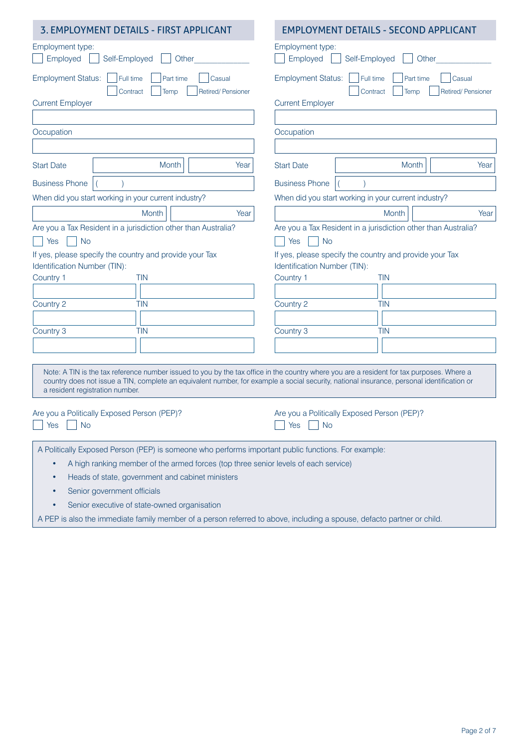| 3. EMPLOYMENT DETAILS - FIRST APPLICANT                                                                                                                                                                                                                                                                                    | <b>EMPLOYMENT DETAILS - SECOND APPLICANT</b>                                                                       |  |  |  |
|----------------------------------------------------------------------------------------------------------------------------------------------------------------------------------------------------------------------------------------------------------------------------------------------------------------------------|--------------------------------------------------------------------------------------------------------------------|--|--|--|
| Employment type:<br>Employed<br>Self-Employed<br>Other                                                                                                                                                                                                                                                                     | Employment type:<br>Employed<br>Self-Employed<br>Other                                                             |  |  |  |
| <b>Employment Status:</b><br>Full time<br>Part time<br>Casual<br>Retired/Pensioner<br>Contract<br>Temp                                                                                                                                                                                                                     | <b>Employment Status:</b><br>Full time<br>Part time<br>Casual<br>Retired/Pensioner<br>Contract<br>Temp             |  |  |  |
| <b>Current Employer</b>                                                                                                                                                                                                                                                                                                    | <b>Current Employer</b>                                                                                            |  |  |  |
|                                                                                                                                                                                                                                                                                                                            |                                                                                                                    |  |  |  |
| Occupation                                                                                                                                                                                                                                                                                                                 | Occupation                                                                                                         |  |  |  |
|                                                                                                                                                                                                                                                                                                                            |                                                                                                                    |  |  |  |
| Month<br>Year<br><b>Start Date</b>                                                                                                                                                                                                                                                                                         | <b>Start Date</b><br>Month<br>Year                                                                                 |  |  |  |
| <b>Business Phone</b>                                                                                                                                                                                                                                                                                                      | <b>Business Phone</b>                                                                                              |  |  |  |
| When did you start working in your current industry?                                                                                                                                                                                                                                                                       | When did you start working in your current industry?                                                               |  |  |  |
| Month<br>Year                                                                                                                                                                                                                                                                                                              | Month<br>Year                                                                                                      |  |  |  |
| Are you a Tax Resident in a jurisdiction other than Australia?<br><b>No</b><br>Yes                                                                                                                                                                                                                                         | Are you a Tax Resident in a jurisdiction other than Australia?<br><b>No</b><br>Yes                                 |  |  |  |
| If yes, please specify the country and provide your Tax<br>Identification Number (TIN):<br>Country 1<br><b>TIN</b>                                                                                                                                                                                                         | If yes, please specify the country and provide your Tax<br>Identification Number (TIN):<br>Country 1<br><b>TIN</b> |  |  |  |
|                                                                                                                                                                                                                                                                                                                            |                                                                                                                    |  |  |  |
| Country 2<br>TIN                                                                                                                                                                                                                                                                                                           | Country 2<br><b>TIN</b>                                                                                            |  |  |  |
| <b>TIN</b>                                                                                                                                                                                                                                                                                                                 | <b>TIN</b>                                                                                                         |  |  |  |
| Country 3                                                                                                                                                                                                                                                                                                                  | Country 3                                                                                                          |  |  |  |
|                                                                                                                                                                                                                                                                                                                            |                                                                                                                    |  |  |  |
| Note: A TIN is the tax reference number issued to you by the tax office in the country where you are a resident for tax purposes. Where a<br>country does not issue a TIN, complete an equivalent number, for example a social security, national insurance, personal identification or<br>a resident registration number. |                                                                                                                    |  |  |  |
| Are you a Politically Exposed Person (PEP)?<br>$\Box$ Yes $\Box$ No                                                                                                                                                                                                                                                        | Are you a Politically Exposed Person (PEP)?<br><b>No</b><br>Yes                                                    |  |  |  |
| A Politically Exposed Person (PEP) is someone who performs important public functions. For example:                                                                                                                                                                                                                        |                                                                                                                    |  |  |  |
| A high ranking member of the armed forces (top three senior levels of each service)                                                                                                                                                                                                                                        |                                                                                                                    |  |  |  |
| Heads of state, government and cabinet ministers                                                                                                                                                                                                                                                                           |                                                                                                                    |  |  |  |
| Senior government officials                                                                                                                                                                                                                                                                                                |                                                                                                                    |  |  |  |
| Senior executive of state-owned organisation                                                                                                                                                                                                                                                                               |                                                                                                                    |  |  |  |
| A PEP is also the immediate family member of a person referred to above, including a spouse, defacto partner or child.                                                                                                                                                                                                     |                                                                                                                    |  |  |  |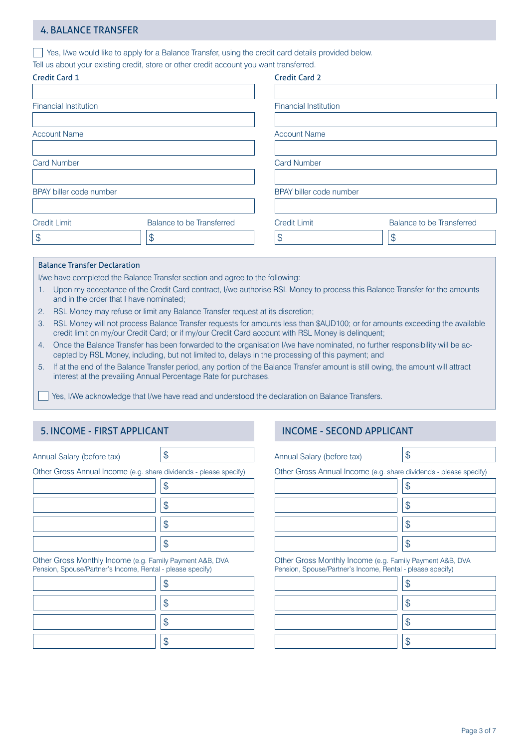# 4. BALANCE TRANSFER

Yes, I/we would like to apply for a Balance Transfer, using the credit card details provided below.

Tell us about your existing credit, store or other credit account you want transferred.

| Credit Card 1                                    | <b>Credit Card 2</b>         |                           |  |  |  |
|--------------------------------------------------|------------------------------|---------------------------|--|--|--|
| <b>Financial Institution</b>                     | <b>Financial Institution</b> |                           |  |  |  |
| <b>Account Name</b>                              | <b>Account Name</b>          |                           |  |  |  |
| <b>Card Number</b>                               | <b>Card Number</b>           |                           |  |  |  |
| BPAY biller code number                          | BPAY biller code number      |                           |  |  |  |
| Balance to be Transferred<br><b>Credit Limit</b> | <b>Credit Limit</b>          | Balance to be Transferred |  |  |  |
| $\frac{1}{2}$<br>\$                              | $\frac{1}{2}$                | \$                        |  |  |  |

### Balance Transfer Declaration

I/we have completed the Balance Transfer section and agree to the following:

- 1. Upon my acceptance of the Credit Card contract, I/we authorise RSL Money to process this Balance Transfer for the amounts and in the order that I have nominated;
- 2. RSL Money may refuse or limit any Balance Transfer request at its discretion;
- 3. RSL Money will not process Balance Transfer requests for amounts less than \$AUD100; or for amounts exceeding the available credit limit on my/our Credit Card; or if my/our Credit Card account with RSL Money is delinquent;
- 4. Once the Balance Transfer has been forwarded to the organisation I/we have nominated, no further responsibility will be accepted by RSL Money, including, but not limited to, delays in the processing of this payment; and
- 5. If at the end of the Balance Transfer period, any portion of the Balance Transfer amount is still owing, the amount will attract interest at the prevailing Annual Percentage Rate for purchases.

Yes, I/We acknowledge that I/we have read and understood the declaration on Balance Transfers.

## 5. INCOME - FIRST APPLICANT **INCOME - SECOND APPLICANT**

Annual Salary (before tax)  $\vert \text{\$}$ 

Other Gross Annual Income (e.g. share dividends - please specify)

Other Gross Monthly Income (e.g. Family Payment A&B, DVA Pension, Spouse/Partner's Income, Rental - please specify)

Annual Salary (before tax)  $\vert \text{\$}$ 

Other Gross Annual Income (e.g. share dividends - please specify)

Other Gross Monthly Income (e.g. Family Payment A&B, DVA Pension, Spouse/Partner's Income, Rental - please specify)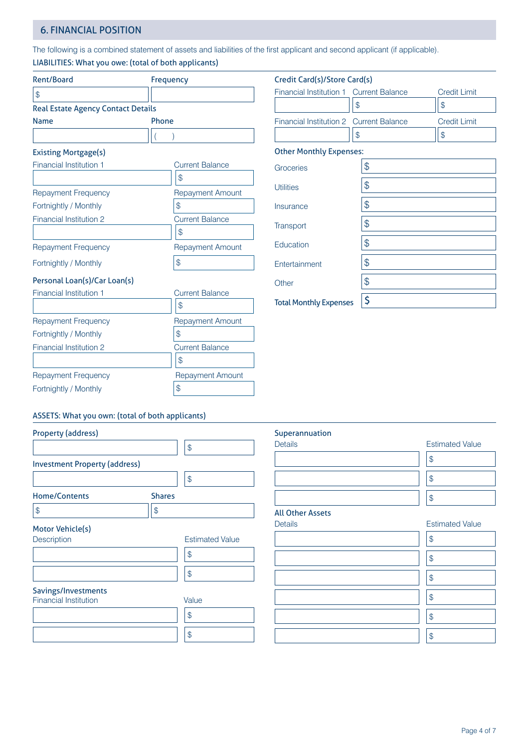# 6. FINANCIAL POSITION

The following is a combined statement of assets and liabilities of the first applicant and second applicant (if applicable).

LIABILITIES: What you owe: (total of both applicants)

| Rent/Board                                | Frequency               | Credit Card(s)/Store Card(s)   |        |
|-------------------------------------------|-------------------------|--------------------------------|--------|
| \$                                        |                         | Financial Institution 1        | Currer |
| <b>Real Estate Agency Contact Details</b> |                         | \$                             |        |
| <b>Name</b>                               | Phone                   | Financial Institution 2        | Currer |
|                                           |                         | \$                             |        |
| <b>Existing Mortgage(s)</b>               |                         | <b>Other Monthly Expenses:</b> |        |
| Financial Institution 1                   | <b>Current Balance</b>  | Groceries                      | \$     |
|                                           | \$                      |                                |        |
| <b>Repayment Frequency</b>                | <b>Repayment Amount</b> | <b>Utilities</b>               | \$     |
| Fortnightly / Monthly                     | \$                      | Insurance                      | \$     |
| <b>Financial Institution 2</b>            | <b>Current Balance</b>  |                                | \$     |
|                                           | $\mathcal{S}$           | Transport                      |        |
| <b>Repayment Frequency</b>                | <b>Repayment Amount</b> | Education                      | \$     |
| Fortnightly / Monthly                     | \$                      | Entertainment                  | \$     |
| Personal Loan(s)/Car Loan(s)              |                         | Other                          | \$     |
| Financial Institution 1                   | <b>Current Balance</b>  |                                | \$     |
|                                           | $\mathcal{S}$           | <b>Total Monthly Expenses</b>  |        |
| <b>Repayment Frequency</b>                | <b>Repayment Amount</b> |                                |        |
| Fortnightly / Monthly                     | \$                      |                                |        |
| <b>Financial Institution 2</b>            | <b>Current Balance</b>  |                                |        |
|                                           | \$                      |                                |        |
| $Domovment$ $ErousonU$                    | Danoumont Amount        |                                |        |

| Financial Institution 1 Current Balance | <b>Credit Limit</b> |
|-----------------------------------------|---------------------|
| \$                                      | \$                  |
| Financial Institution 2 Current Balance | <b>Credit Limit</b> |
| \$                                      | \$                  |
| <b>Other Monthly Expenses:</b>          |                     |
| \$                                      |                     |
| \$                                      |                     |
| \$                                      |                     |
| \$                                      |                     |
| \$                                      |                     |
| \$                                      |                     |
|                                         |                     |

|                         | S                       |
|-------------------------|-------------------------|
| Repayment Frequency     | <b>Repayment Amount</b> |
| Fortnightly / Monthly   |                         |
| Financial Institution 2 | <b>Current Balance</b>  |
|                         |                         |
| Repayment Frequency     | <b>Repayment Amount</b> |
| Fortnightly / Monthly   | S                       |
|                         |                         |

| Transport                     | \$ |
|-------------------------------|----|
| Education                     | \$ |
| Entertainment                 | \$ |
| Other                         | \$ |
| <b>Total Monthly Expenses</b> | \$ |
|                               |    |
|                               |    |

## ASSETS: What you own: (total of both applicants)

| <b>Property (address)</b>            |               |                        |
|--------------------------------------|---------------|------------------------|
|                                      |               | \$                     |
| <b>Investment Property (address)</b> |               |                        |
|                                      |               | \$                     |
| <b>Home/Contents</b>                 | <b>Shares</b> |                        |
| \$                                   | \$            |                        |
| Motor Vehicle(s)                     |               |                        |
| <b>Description</b>                   |               | <b>Estimated Value</b> |
|                                      |               | \$                     |
|                                      |               | \$                     |
| Savings/Investments                  |               |                        |
| <b>Financial Institution</b>         |               | Value                  |
|                                      |               | \$                     |

\$

# Superannuation Details **Estimated Value** \$  $\frac{1}{2}$ \$

# **All Other Assets**<br>Details

| vetalis |  |
|---------|--|
|         |  |
|         |  |
|         |  |
|         |  |
|         |  |
|         |  |
|         |  |
|         |  |
|         |  |
|         |  |
|         |  |
|         |  |
|         |  |

## **Estimated Value**

| \$ |
|----|
| \$ |
| \$ |
| \$ |
| \$ |
| \$ |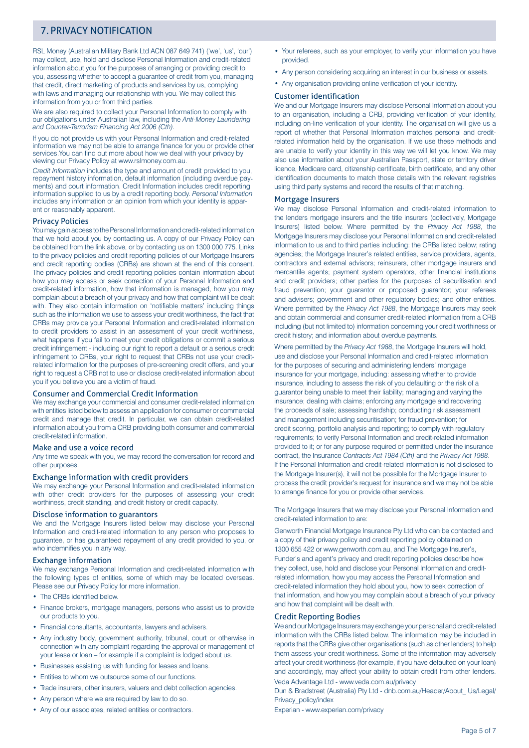# 7. PRIVACY NOTIFICATION

RSL Money (Australian Military Bank Ltd ACN 087 649 741) ('we', 'us', 'our') may collect, use, hold and disclose Personal Information and credit-related information about you for the purposes of arranging or providing credit to you, assessing whether to accept a guarantee of credit from you, managing that credit, direct marketing of products and services by us, complying with laws and managing our relationship with you. We may collect this information from you or from third parties.

We are also required to collect your Personal Information to comply with our obligations under Australian law, including the *Anti-Money Laundering and Counter-Terrorism Financing Act 2006 (Cth).*

If you do not provide us with your Personal Information and credit-related information we may not be able to arrange finance for you or provide other services.You can find out more about how we deal with your privacy by viewing our Privacy Policy at www.rslmoney.com.au.

*Credit Information* includes the type and amount of credit provided to you, repayment history information, default information (including overdue payments) and court information. Credit Information includes credit reporting information supplied to us by a credit reporting body. *Personal Information*  includes any information or an opinion from which your identity is apparent or reasonably apparent.

#### Privacy Policies

You may gain access to the Personal Information and credit-related information that we hold about you by contacting us. A copy of our Privacy Policy can be obtained from the link above, or by contacting us on 1300 000 775. Links to the privacy policies and credit reporting policies of our Mortgage Insurers and credit reporting bodies (CRBs) are shown at the end of this consent. The privacy policies and credit reporting policies contain information about how you may access or seek correction of your Personal Information and credit-related information, how that information is managed, how you may complain about a breach of your privacy and how that complaint will be dealt with. They also contain information on 'notifiable matters' including things such as the information we use to assess your credit worthiness, the fact that CRBs may provide your Personal Information and credit-related information to credit providers to assist in an assessment of your credit worthiness, what happens if you fail to meet your credit obligations or commit a serious credit infringement - including our right to report a default or a serious credit infringement to CRBs, your right to request that CRBs not use your creditrelated information for the purposes of pre-screening credit offers, and your right to request a CRB not to use or disclose credit-related information about you if you believe you are a victim of fraud.

#### Consumer and Commercial Credit Information

We may exchange your commercial and consumer credit-related information with entities listed below to assess an application for consumer or commercial credit and manage that credit. In particular, we can obtain credit-related information about you from a CRB providing both consumer and commercial credit-related information.

#### Make and use a voice record

Any time we speak with you, we may record the conversation for record and other purposes.

#### Exchange information with credit providers

We may exchange your Personal Information and credit-related information with other credit providers for the purposes of assessing your credit worthiness, credit standing, and credit history or credit capacity.

#### Disclose information to guarantors

We and the Mortgage Insurers listed below may disclose your Personal Information and credit-related information to any person who proposes to guarantee, or has guaranteed repayment of any credit provided to you, or who indemnifies you in any way.

### Exchange information

We may exchange Personal Information and credit-related information with the following types of entities, some of which may be located overseas. Please see our Privacy Policy for more information.

- The CRBs identified below.
- Finance brokers, mortgage managers, persons who assist us to provide our products to you.
- Financial consultants, accountants, lawyers and advisers.
- Any industry body, government authority, tribunal, court or otherwise in connection with any complaint regarding the approval or management of your lease or loan – for example if a complaint is lodged about us.
- Businesses assisting us with funding for leases and loans.
- Entities to whom we outsource some of our functions.
- Trade insurers, other insurers, valuers and debt collection agencies.
- Any person where we are required by law to do so.
- Any of our associates, related entities or contractors.
- Your referees, such as your employer, to verify your information you have provided.
- Any person considering acquiring an interest in our business or assets.
- Any organisation providing online verification of your identity.

### Customer identification

We and our Mortgage Insurers may disclose Personal Information about you to an organisation, including a CRB, providing verification of your identity, including on-line verification of your identity. The organisation will give us a report of whether that Personal Information matches personal and creditrelated information held by the organisation. If we use these methods and are unable to verify your identity in this way we will let you know. We may also use information about your Australian Passport, state or territory driver licence, Medicare card, citizenship certificate, birth certificate, and any other identification documents to match those details with the relevant registries using third party systems and record the results of that matching.

#### Mortgage Insurers

We may disclose Personal Information and credit-related information to the lenders mortgage insurers and the title insurers (collectively, Mortgage Insurers) listed below. Where permitted by the *Privacy Act 1988*, the Mortgage Insurers may disclose your Personal Information and credit-related information to us and to third parties including: the CRBs listed below; rating agencies; the Mortgage Insurer's related entities, service providers, agents, contractors and external advisors; reinsurers, other mortgage insurers and mercantile agents; payment system operators, other financial institutions and credit providers; other parties for the purposes of securitisation and fraud prevention; your guarantor or proposed guarantor; your referees and advisers; government and other regulatory bodies; and other entities. Where permitted by the *Privacy Act 1988*, the Mortgage Insurers may seek and obtain commercial and consumer credit-related information from a CRB including (but not limited to) information concerning your credit worthiness or credit history; and information about overdue payments.

Where permitted by the *Privacy Act 1988*, the Mortgage Insurers will hold, use and disclose your Personal Information and credit-related information for the purposes of securing and administering lenders' mortgage insurance for your mortgage, including: assessing whether to provide insurance, including to assess the risk of you defaulting or the risk of a guarantor being unable to meet their liability; managing and varying the insurance; dealing with claims; enforcing any mortgage and recovering the proceeds of sale; assessing hardship; conducting risk assessment and management including securitisation; for fraud prevention; for credit scoring, portfolio analysis and reporting; to comply with regulatory requirements; to verify Personal Information and credit-related information provided to it; or for any purpose required or permitted under the insurance contract, the Insurance *Contracts Act 1984 (Cth)* and the *Privacy Act 1988*. If the Personal Information and credit-related information is not disclosed to the Mortgage Insurer(s), it will not be possible for the Mortgage Insurer to process the credit provider's request for insurance and we may not be able to arrange finance for you or provide other services.

The Mortgage Insurers that we may disclose your Personal Information and credit-related information to are:

Genworth Financial Mortgage Insurance Pty Ltd who can be contacted and a copy of their privacy policy and credit reporting policy obtained on 1300 655 422 or www.genworth.com.au, and The Mortgage Insurer's, Funder's and agent's privacy and credit reporting policies describe how they collect, use, hold and disclose your Personal Information and creditrelated information, how you may access the Personal Information and credit-related information they hold about you, how to seek correction of that information, and how you may complain about a breach of your privacy and how that complaint will be dealt with.

#### Credit Reporting Bodies

We and our Mortgage Insurers may exchange your personal and credit-related information with the CRBs listed below. The information may be included in reports that the CRBs give other organisations (such as other lenders) to help them assess your credit worthiness. Some of the information may adversely affect your credit worthiness (for example, if you have defaulted on your loan) and accordingly, may affect your ability to obtain credit from other lenders. Veda Advantage Ltd - www.veda.com.au/privacy

Dun & Bradstreet (Australia) Pty Ltd - dnb.com.au/Header/About\_ Us/Legal/ Privacy\_policy/index

Experian - www.experian.com/privacy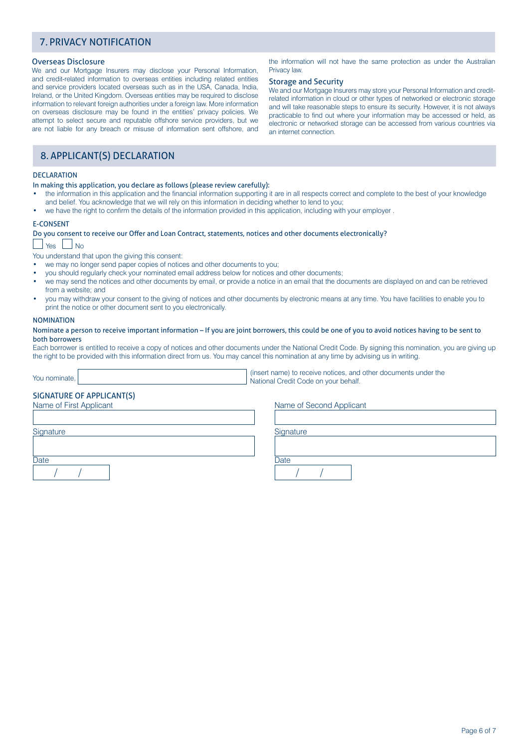# 7. PRIVACY NOTIFICATION

#### Overseas Disclosure

We and our Mortgage Insurers may disclose your Personal Information, and credit-related information to overseas entities including related entities and service providers located overseas such as in the USA, Canada, India, Ireland, or the United Kingdom. Overseas entities may be required to disclose information to relevant foreign authorities under a foreign law. More information on overseas disclosure may be found in the entities' privacy policies. We attempt to select secure and reputable offshore service providers, but we are not liable for any breach or misuse of information sent offshore, and

the information will not have the same protection as under the Australian Privacy law.

### Storage and Security

We and our Mortgage Insurers may store your Personal Information and creditrelated information in cloud or other types of networked or electronic storage and will take reasonable steps to ensure its security. However, it is not always practicable to find out where your information may be accessed or held, as electronic or networked storage can be accessed from various countries via an internet connection.

# 8. APPLICANT(S) DECLARATION

#### DECLARATION

In making this application, you declare as follows (please review carefully):

- the information in this application and the financial information supporting it are in all respects correct and complete to the best of your knowledge and belief. You acknowledge that we will rely on this information in deciding whether to lend to you;
- we have the right to confirm the details of the information provided in this application, including with your employer .

#### E-CONSENT

#### Do you consent to receive our Offer and Loan Contract, statements, notices and other documents electronically?

」Yes \_\_ No

You understand that upon the giving this consent:

- we may no longer send paper copies of notices and other documents to you;
- you should regularly check your nominated email address below for notices and other documents;
- we may send the notices and other documents by email, or provide a notice in an email that the documents are displayed on and can be retrieved from a website; and
- you may withdraw your consent to the giving of notices and other documents by electronic means at any time. You have facilities to enable you to print the notice or other document sent to you electronically.

#### **NOMINATION**

#### Nominate a person to receive important information – If you are joint borrowers, this could be one of you to avoid notices having to be sent to both borrowers

Each borrower is entitled to receive a copy of notices and other documents under the National Credit Code. By signing this nomination, you are giving up the right to be provided with this information direct from us. You may cancel this nomination at any time by advising us in writing.

You nominate, and the community of the state of the state of the state of the state of the state of the state of the state of the state of the state of the state of the state of the state of the state of the state of the s National Credit Code on your behalf.

# SIGNATURE OF APPLICANT(S)

Name of First Applicant Name of Second Applicant

Signature Signature Signature Signature Signature Signature Signature Signature

Date **Date** Date **Date** Date **Date** Date **Date** Date **Date** Date **Date** Date / / / /